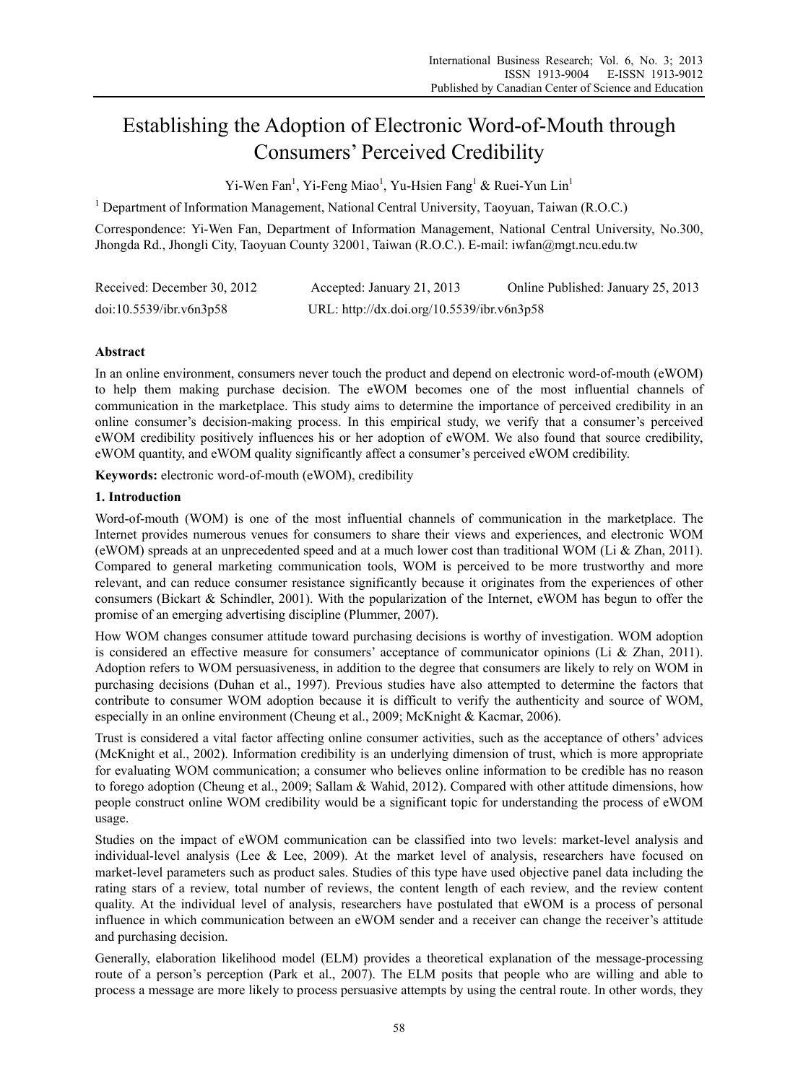# Establishing the Adoption of Electronic Word-of-Mouth through Consumers' Perceived Credibility

Yi-Wen Fan<sup>1</sup>, Yi-Feng Miao<sup>1</sup>, Yu-Hsien Fang<sup>1</sup> & Ruei-Yun Lin<sup>1</sup>

<sup>1</sup> Department of Information Management, National Central University, Taoyuan, Taiwan (R.O.C.)

Correspondence: Yi-Wen Fan, Department of Information Management, National Central University, No.300, Jhongda Rd., Jhongli City, Taoyuan County 32001, Taiwan (R.O.C.). E-mail: iwfan@mgt.ncu.edu.tw

| Received: December 30, 2012 | Accepted: January 21, 2013                 | Online Published: January 25, 2013 |
|-----------------------------|--------------------------------------------|------------------------------------|
| doi:10.5539/ibr.v6n3p58     | URL: http://dx.doi.org/10.5539/ibr.v6n3p58 |                                    |

# **Abstract**

In an online environment, consumers never touch the product and depend on electronic word-of-mouth (eWOM) to help them making purchase decision. The eWOM becomes one of the most influential channels of communication in the marketplace. This study aims to determine the importance of perceived credibility in an online consumer's decision-making process. In this empirical study, we verify that a consumer's perceived eWOM credibility positively influences his or her adoption of eWOM. We also found that source credibility, eWOM quantity, and eWOM quality significantly affect a consumer's perceived eWOM credibility.

**Keywords:** electronic word-of-mouth (eWOM), credibility

## **1. Introduction**

Word-of-mouth (WOM) is one of the most influential channels of communication in the marketplace. The Internet provides numerous venues for consumers to share their views and experiences, and electronic WOM (eWOM) spreads at an unprecedented speed and at a much lower cost than traditional WOM (Li & Zhan, 2011). Compared to general marketing communication tools, WOM is perceived to be more trustworthy and more relevant, and can reduce consumer resistance significantly because it originates from the experiences of other consumers (Bickart & Schindler, 2001). With the popularization of the Internet, eWOM has begun to offer the promise of an emerging advertising discipline (Plummer, 2007).

How WOM changes consumer attitude toward purchasing decisions is worthy of investigation. WOM adoption is considered an effective measure for consumers' acceptance of communicator opinions (Li & Zhan, 2011). Adoption refers to WOM persuasiveness, in addition to the degree that consumers are likely to rely on WOM in purchasing decisions (Duhan et al., 1997). Previous studies have also attempted to determine the factors that contribute to consumer WOM adoption because it is difficult to verify the authenticity and source of WOM, especially in an online environment (Cheung et al., 2009; McKnight & Kacmar, 2006).

Trust is considered a vital factor affecting online consumer activities, such as the acceptance of others' advices (McKnight et al., 2002). Information credibility is an underlying dimension of trust, which is more appropriate for evaluating WOM communication; a consumer who believes online information to be credible has no reason to forego adoption (Cheung et al., 2009; Sallam & Wahid, 2012). Compared with other attitude dimensions, how people construct online WOM credibility would be a significant topic for understanding the process of eWOM usage.

Studies on the impact of eWOM communication can be classified into two levels: market-level analysis and individual-level analysis (Lee & Lee, 2009). At the market level of analysis, researchers have focused on market-level parameters such as product sales. Studies of this type have used objective panel data including the rating stars of a review, total number of reviews, the content length of each review, and the review content quality. At the individual level of analysis, researchers have postulated that eWOM is a process of personal influence in which communication between an eWOM sender and a receiver can change the receiver's attitude and purchasing decision.

Generally, elaboration likelihood model (ELM) provides a theoretical explanation of the message-processing route of a person's perception (Park et al., 2007). The ELM posits that people who are willing and able to process a message are more likely to process persuasive attempts by using the central route. In other words, they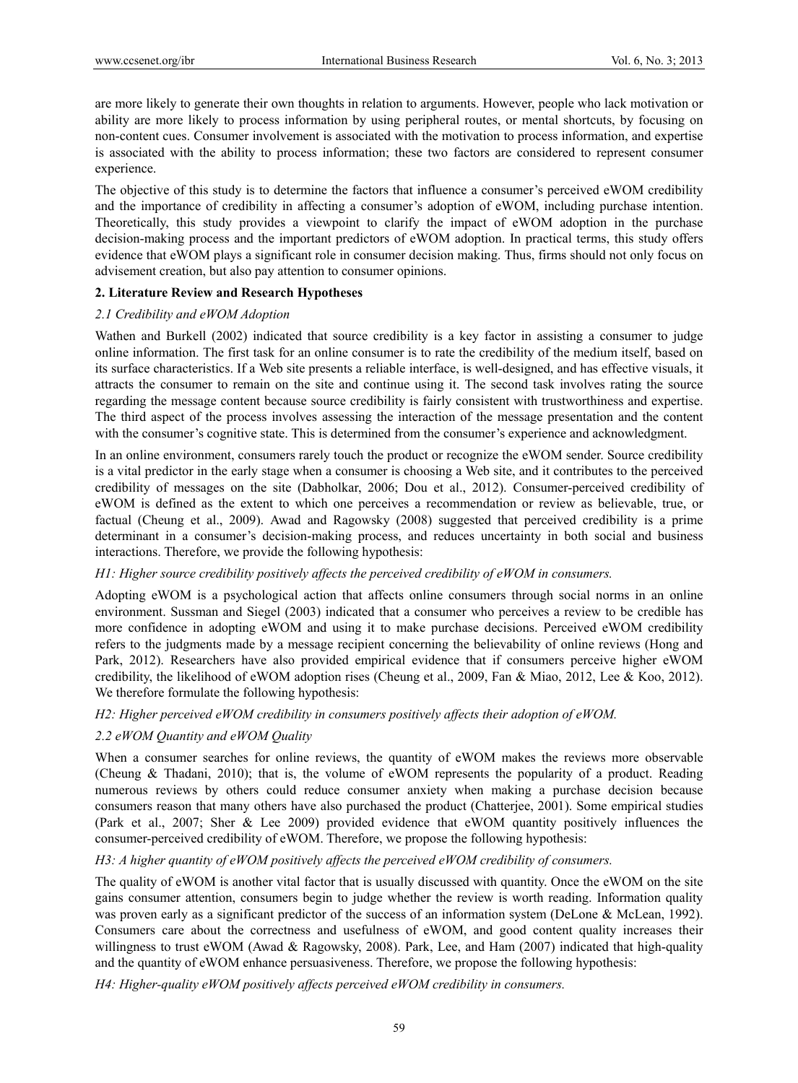are more likely to generate their own thoughts in relation to arguments. However, people who lack motivation or ability are more likely to process information by using peripheral routes, or mental shortcuts, by focusing on non-content cues. Consumer involvement is associated with the motivation to process information, and expertise is associated with the ability to process information; these two factors are considered to represent consumer experience.

The objective of this study is to determine the factors that influence a consumer's perceived eWOM credibility and the importance of credibility in affecting a consumer's adoption of eWOM, including purchase intention. Theoretically, this study provides a viewpoint to clarify the impact of eWOM adoption in the purchase decision-making process and the important predictors of eWOM adoption. In practical terms, this study offers evidence that eWOM plays a significant role in consumer decision making. Thus, firms should not only focus on advisement creation, but also pay attention to consumer opinions.

## **2. Literature Review and Research Hypotheses**

## *2.1 Credibility and eWOM Adoption*

Wathen and Burkell (2002) indicated that source credibility is a key factor in assisting a consumer to judge online information. The first task for an online consumer is to rate the credibility of the medium itself, based on its surface characteristics. If a Web site presents a reliable interface, is well-designed, and has effective visuals, it attracts the consumer to remain on the site and continue using it. The second task involves rating the source regarding the message content because source credibility is fairly consistent with trustworthiness and expertise. The third aspect of the process involves assessing the interaction of the message presentation and the content with the consumer's cognitive state. This is determined from the consumer's experience and acknowledgment.

In an online environment, consumers rarely touch the product or recognize the eWOM sender. Source credibility is a vital predictor in the early stage when a consumer is choosing a Web site, and it contributes to the perceived credibility of messages on the site (Dabholkar, 2006; Dou et al., 2012). Consumer-perceived credibility of eWOM is defined as the extent to which one perceives a recommendation or review as believable, true, or factual (Cheung et al., 2009). Awad and Ragowsky (2008) suggested that perceived credibility is a prime determinant in a consumer's decision-making process, and reduces uncertainty in both social and business interactions. Therefore, we provide the following hypothesis:

# *H1: Higher source credibility positively affects the perceived credibility of eWOM in consumers.*

Adopting eWOM is a psychological action that affects online consumers through social norms in an online environment. Sussman and Siegel (2003) indicated that a consumer who perceives a review to be credible has more confidence in adopting eWOM and using it to make purchase decisions. Perceived eWOM credibility refers to the judgments made by a message recipient concerning the believability of online reviews (Hong and Park, 2012). Researchers have also provided empirical evidence that if consumers perceive higher eWOM credibility, the likelihood of eWOM adoption rises (Cheung et al., 2009, Fan & Miao, 2012, Lee & Koo, 2012). We therefore formulate the following hypothesis:

*H2: Higher perceived eWOM credibility in consumers positively affects their adoption of eWOM.* 

# *2.2 eWOM Quantity and eWOM Quality*

When a consumer searches for online reviews, the quantity of eWOM makes the reviews more observable (Cheung & Thadani, 2010); that is, the volume of eWOM represents the popularity of a product. Reading numerous reviews by others could reduce consumer anxiety when making a purchase decision because consumers reason that many others have also purchased the product (Chatterjee, 2001). Some empirical studies (Park et al., 2007; Sher & Lee 2009) provided evidence that eWOM quantity positively influences the consumer-perceived credibility of eWOM. Therefore, we propose the following hypothesis:

## *H3: A higher quantity of eWOM positively affects the perceived eWOM credibility of consumers.*

The quality of eWOM is another vital factor that is usually discussed with quantity. Once the eWOM on the site gains consumer attention, consumers begin to judge whether the review is worth reading. Information quality was proven early as a significant predictor of the success of an information system (DeLone & McLean, 1992). Consumers care about the correctness and usefulness of eWOM, and good content quality increases their willingness to trust eWOM (Awad & Ragowsky, 2008). Park, Lee, and Ham (2007) indicated that high-quality and the quantity of eWOM enhance persuasiveness. Therefore, we propose the following hypothesis:

*H4: Higher-quality eWOM positively affects perceived eWOM credibility in consumers.*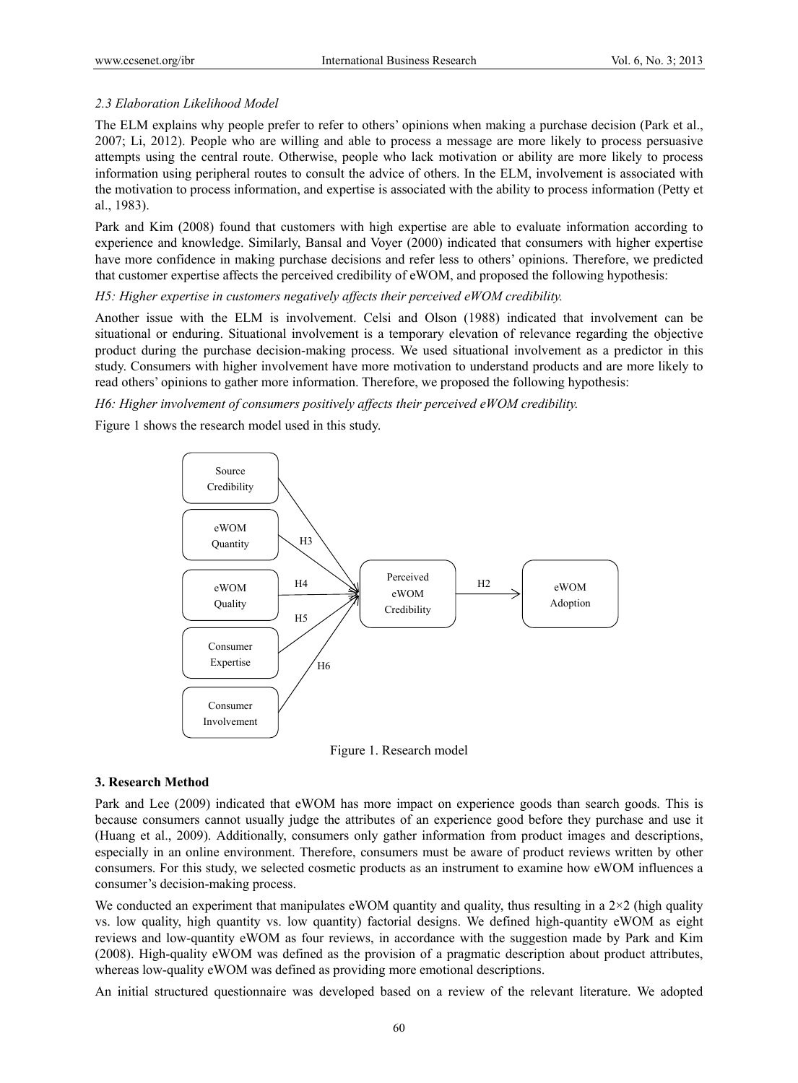## *2.3 Elaboration Likelihood Model*

The ELM explains why people prefer to refer to others' opinions when making a purchase decision (Park et al., 2007; Li, 2012). People who are willing and able to process a message are more likely to process persuasive attempts using the central route. Otherwise, people who lack motivation or ability are more likely to process information using peripheral routes to consult the advice of others. In the ELM, involvement is associated with the motivation to process information, and expertise is associated with the ability to process information (Petty et al., 1983).

Park and Kim (2008) found that customers with high expertise are able to evaluate information according to experience and knowledge. Similarly, Bansal and Voyer (2000) indicated that consumers with higher expertise have more confidence in making purchase decisions and refer less to others' opinions. Therefore, we predicted that customer expertise affects the perceived credibility of eWOM, and proposed the following hypothesis:

## *H5: Higher expertise in customers negatively affects their perceived eWOM credibility.*

Another issue with the ELM is involvement. Celsi and Olson (1988) indicated that involvement can be situational or enduring. Situational involvement is a temporary elevation of relevance regarding the objective product during the purchase decision-making process. We used situational involvement as a predictor in this study. Consumers with higher involvement have more motivation to understand products and are more likely to read others' opinions to gather more information. Therefore, we proposed the following hypothesis:

*H6: Higher involvement of consumers positively affects their perceived eWOM credibility.* 

Figure 1 shows the research model used in this study.



Figure 1. Research model

## **3. Research Method**

Park and Lee (2009) indicated that eWOM has more impact on experience goods than search goods. This is because consumers cannot usually judge the attributes of an experience good before they purchase and use it (Huang et al., 2009). Additionally, consumers only gather information from product images and descriptions, especially in an online environment. Therefore, consumers must be aware of product reviews written by other consumers. For this study, we selected cosmetic products as an instrument to examine how eWOM influences a consumer's decision-making process.

We conducted an experiment that manipulates eWOM quantity and quality, thus resulting in a  $2\times2$  (high quality vs. low quality, high quantity vs. low quantity) factorial designs. We defined high-quantity eWOM as eight reviews and low-quantity eWOM as four reviews, in accordance with the suggestion made by Park and Kim (2008). High-quality eWOM was defined as the provision of a pragmatic description about product attributes, whereas low-quality eWOM was defined as providing more emotional descriptions.

An initial structured questionnaire was developed based on a review of the relevant literature. We adopted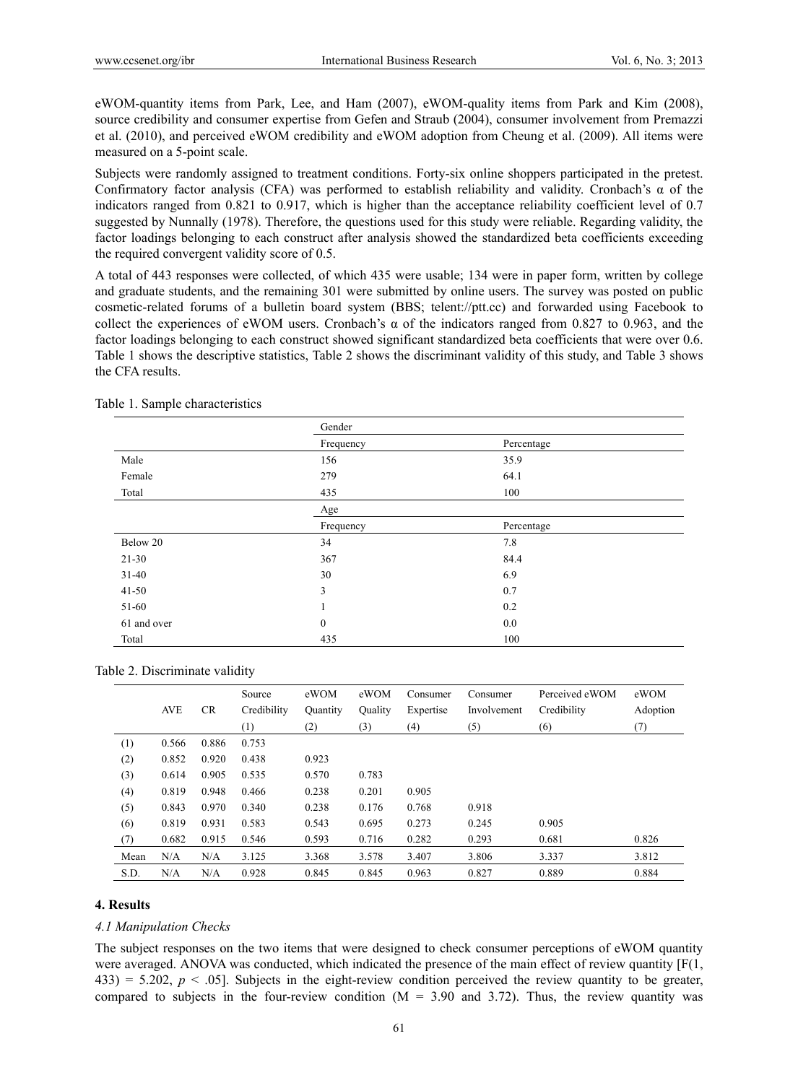eWOM-quantity items from Park, Lee, and Ham (2007), eWOM-quality items from Park and Kim (2008), source credibility and consumer expertise from Gefen and Straub (2004), consumer involvement from Premazzi et al. (2010), and perceived eWOM credibility and eWOM adoption from Cheung et al. (2009). All items were measured on a 5-point scale.

Subjects were randomly assigned to treatment conditions. Forty-six online shoppers participated in the pretest. Confirmatory factor analysis (CFA) was performed to establish reliability and validity. Cronbach's α of the indicators ranged from 0.821 to 0.917, which is higher than the acceptance reliability coefficient level of 0.7 suggested by Nunnally (1978). Therefore, the questions used for this study were reliable. Regarding validity, the factor loadings belonging to each construct after analysis showed the standardized beta coefficients exceeding the required convergent validity score of 0.5.

A total of 443 responses were collected, of which 435 were usable; 134 were in paper form, written by college and graduate students, and the remaining 301 were submitted by online users. The survey was posted on public cosmetic-related forums of a bulletin board system (BBS; telent://ptt.cc) and forwarded using Facebook to collect the experiences of eWOM users. Cronbach's  $\alpha$  of the indicators ranged from 0.827 to 0.963, and the factor loadings belonging to each construct showed significant standardized beta coefficients that were over 0.6. Table 1 shows the descriptive statistics, Table 2 shows the discriminant validity of this study, and Table 3 shows the CFA results.

|             | Gender           |            |  |  |  |
|-------------|------------------|------------|--|--|--|
|             | Frequency        | Percentage |  |  |  |
| Male        | 156              | 35.9       |  |  |  |
| Female      | 279              | 64.1       |  |  |  |
| Total       | 435              | 100        |  |  |  |
|             | Age              |            |  |  |  |
|             | Frequency        | Percentage |  |  |  |
| Below 20    | 34               | 7.8        |  |  |  |
| $21 - 30$   | 367              | 84.4       |  |  |  |
| $31 - 40$   | 30               | 6.9        |  |  |  |
| $41 - 50$   | 3                | 0.7        |  |  |  |
| 51-60       |                  | 0.2        |  |  |  |
| 61 and over | $\boldsymbol{0}$ | 0.0        |  |  |  |
| Total       | 435              | 100        |  |  |  |

Table 1. Sample characteristics

Table 2. Discriminate validity

|      |            |           | Source      | eWOM     | eWOM    | Consumer  | Consumer    | Perceived eWOM | eWOM     |
|------|------------|-----------|-------------|----------|---------|-----------|-------------|----------------|----------|
|      | <b>AVE</b> | <b>CR</b> | Credibility | Quantity | Quality | Expertise | Involvement | Credibility    | Adoption |
|      |            |           | (1)         | (2)      | (3)     | (4)       | (5)         | (6)            | (7)      |
| (1)  | 0.566      | 0.886     | 0.753       |          |         |           |             |                |          |
| (2)  | 0.852      | 0.920     | 0.438       | 0.923    |         |           |             |                |          |
| (3)  | 0.614      | 0.905     | 0.535       | 0.570    | 0.783   |           |             |                |          |
| (4)  | 0.819      | 0.948     | 0.466       | 0.238    | 0.201   | 0.905     |             |                |          |
| (5)  | 0.843      | 0.970     | 0.340       | 0.238    | 0.176   | 0.768     | 0.918       |                |          |
| (6)  | 0.819      | 0.931     | 0.583       | 0.543    | 0.695   | 0.273     | 0.245       | 0.905          |          |
| (7)  | 0.682      | 0.915     | 0.546       | 0.593    | 0.716   | 0.282     | 0.293       | 0.681          | 0.826    |
| Mean | N/A        | N/A       | 3.125       | 3.368    | 3.578   | 3.407     | 3.806       | 3.337          | 3.812    |
| S.D. | N/A        | N/A       | 0.928       | 0.845    | 0.845   | 0.963     | 0.827       | 0.889          | 0.884    |

## **4. Results**

## *4.1 Manipulation Checks*

The subject responses on the two items that were designed to check consumer perceptions of eWOM quantity were averaged. ANOVA was conducted, which indicated the presence of the main effect of review quantity  $[F(1,$  $433$ ) = 5.202,  $p < .05$ ]. Subjects in the eight-review condition perceived the review quantity to be greater, compared to subjects in the four-review condition  $(M = 3.90$  and 3.72). Thus, the review quantity was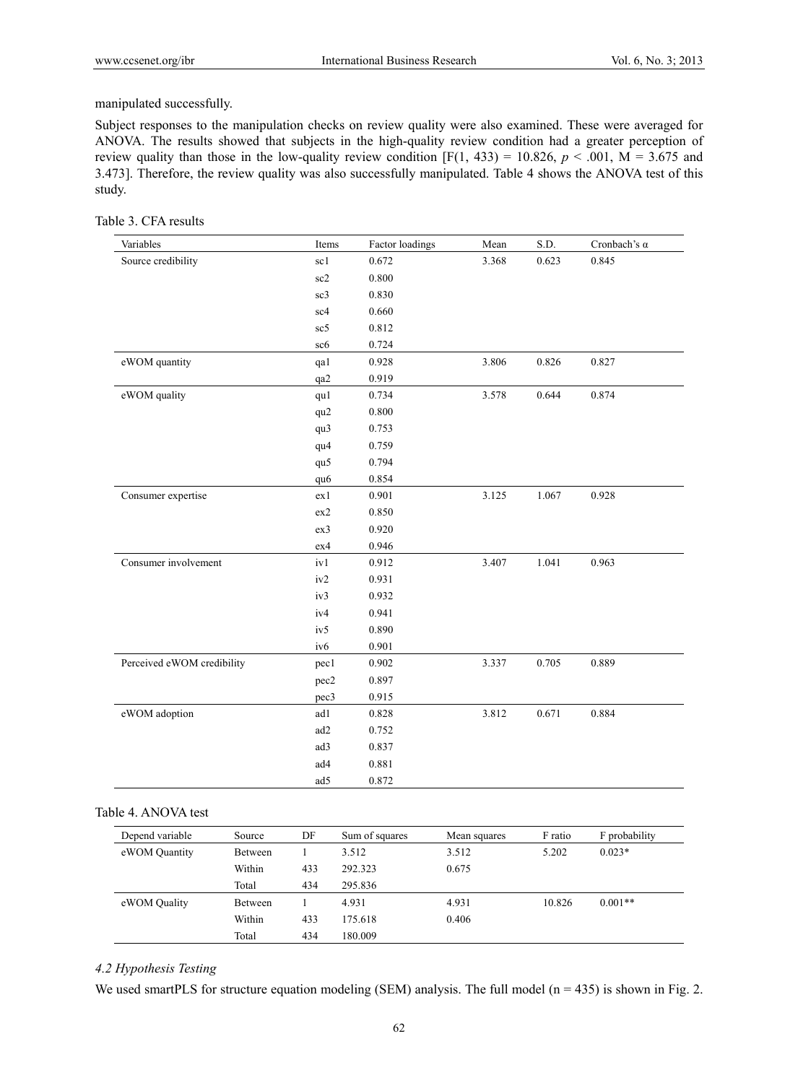## manipulated successfully.

Subject responses to the manipulation checks on review quality were also examined. These were averaged for ANOVA. The results showed that subjects in the high-quality review condition had a greater perception of review quality than those in the low-quality review condition  $[F(1, 433) = 10.826, p < .001, M = 3.675$  and 3.473]. Therefore, the review quality was also successfully manipulated. Table 4 shows the ANOVA test of this study.

| Variables                  | Items           | Factor loadings | Mean  | S.D.  | Cronbach's $\alpha$ |
|----------------------------|-----------------|-----------------|-------|-------|---------------------|
| Source credibility         | sc1             | 0.672           | 3.368 | 0.623 | 0.845               |
|                            | $\mathrm{sc}2$  | $0.800\,$       |       |       |                     |
|                            | sc3             | 0.830           |       |       |                     |
|                            | sc <sub>4</sub> | 0.660           |       |       |                     |
|                            | sc5             | 0.812           |       |       |                     |
|                            | sc <sub>6</sub> | 0.724           |       |       |                     |
| eWOM quantity              | qa1             | 0.928           | 3.806 | 0.826 | 0.827               |
|                            | qa2             | 0.919           |       |       |                     |
| eWOM quality               | qu1             | 0.734           | 3.578 | 0.644 | 0.874               |
|                            | qu2             | $0.800\,$       |       |       |                     |
|                            | qu <sub>3</sub> | 0.753           |       |       |                     |
|                            | qu4             | 0.759           |       |       |                     |
|                            | qu <sub>5</sub> | 0.794           |       |       |                     |
|                            | qu <sub>6</sub> | 0.854           |       |       |                     |
| Consumer expertise         | ex1             | 0.901           | 3.125 | 1.067 | 0.928               |
|                            | ex2             | 0.850           |       |       |                     |
|                            | ex3             | 0.920           |       |       |                     |
|                            | ex4             | 0.946           |       |       |                     |
| Consumer involvement       | iv1             | 0.912           | 3.407 | 1.041 | 0.963               |
|                            | iv2             | 0.931           |       |       |                     |
|                            | iv3             | 0.932           |       |       |                     |
|                            | iv <sub>4</sub> | 0.941           |       |       |                     |
|                            | iv5             | 0.890           |       |       |                     |
|                            | iv <sub>6</sub> | 0.901           |       |       |                     |
| Perceived eWOM credibility | pec1            | 0.902           | 3.337 | 0.705 | 0.889               |
|                            | pec2            | 0.897           |       |       |                     |
|                            | pec3            | 0.915           |       |       |                     |
| eWOM adoption              | ad1             | 0.828           | 3.812 | 0.671 | 0.884               |
|                            | ad2             | 0.752           |       |       |                     |
|                            | ad3             | 0.837           |       |       |                     |
|                            | ad4             | 0.881           |       |       |                     |
|                            | ad5             | 0.872           |       |       |                     |

#### Table 4. ANOVA test

| Depend variable | Source  | DF  | Sum of squares | Mean squares | F ratio | F probability |
|-----------------|---------|-----|----------------|--------------|---------|---------------|
| eWOM Quantity   | Between |     | 3.512          | 3.512        | 5.202   | $0.023*$      |
|                 | Within  | 433 | 292.323        | 0.675        |         |               |
|                 | Total   | 434 | 295.836        |              |         |               |
| eWOM Quality    | Between |     | 4.931          | 4.931        | 10.826  | $0.001**$     |
|                 | Within  | 433 | 175.618        | 0.406        |         |               |
|                 | Total   | 434 | 180.009        |              |         |               |

# *4.2 Hypothesis Testing*

We used smartPLS for structure equation modeling (SEM) analysis. The full model ( $n = 435$ ) is shown in Fig. 2.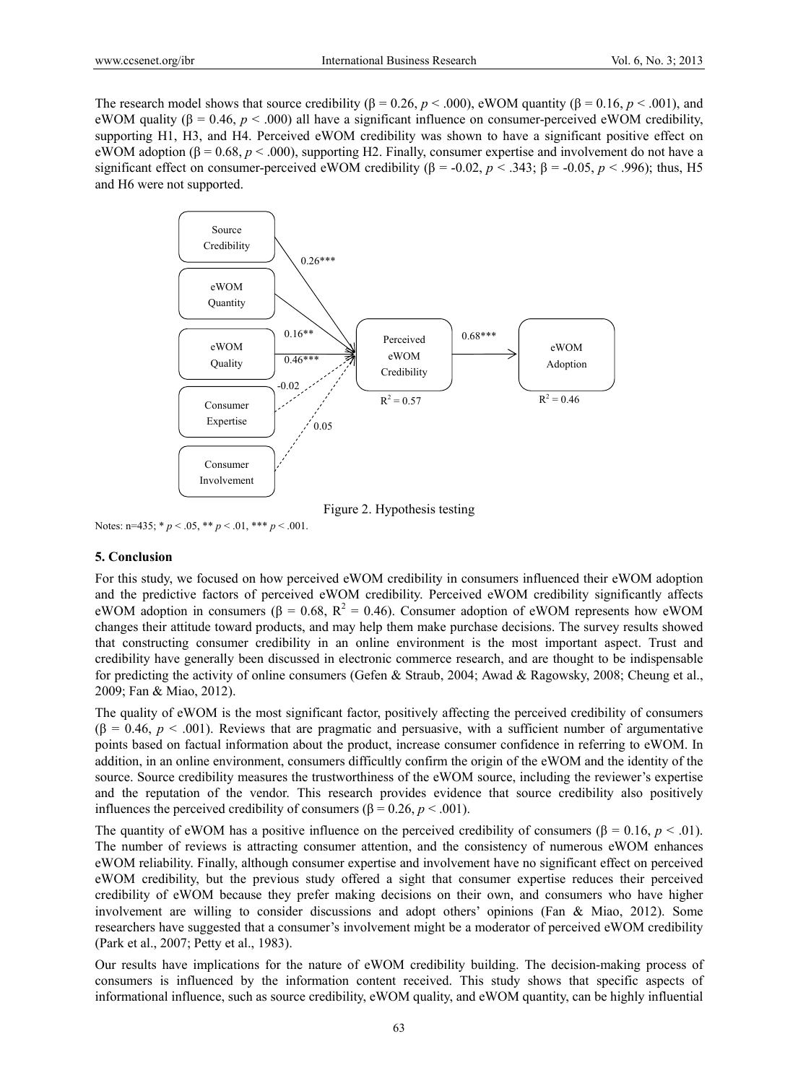The research model shows that source credibility ( $\beta = 0.26$ ,  $p < .000$ ), eWOM quantity ( $\beta = 0.16$ ,  $p < .001$ ), and eWOM quality ( $β = 0.46, p < .000$ ) all have a significant influence on consumer-perceived eWOM credibility, supporting H1, H3, and H4. Perceived eWOM credibility was shown to have a significant positive effect on eWOM adoption (β = 0.68, *p* < .000), supporting H2. Finally, consumer expertise and involvement do not have a significant effect on consumer-perceived eWOM credibility ( $\beta$  = -0.02, *p* < .343;  $\beta$  = -0.05, *p* < .996); thus, H5 and H6 were not supported.



Figure 2. Hypothesis testing

Notes:  $n=435$ ;  $p < .05$ ,  $\ast p < .01$ ,  $\ast \ast p < .001$ .

#### **5. Conclusion**

For this study, we focused on how perceived eWOM credibility in consumers influenced their eWOM adoption and the predictive factors of perceived eWOM credibility. Perceived eWOM credibility significantly affects eWOM adoption in consumers ( $\beta = 0.68$ ,  $R^2 = 0.46$ ). Consumer adoption of eWOM represents how eWOM changes their attitude toward products, and may help them make purchase decisions. The survey results showed that constructing consumer credibility in an online environment is the most important aspect. Trust and credibility have generally been discussed in electronic commerce research, and are thought to be indispensable for predicting the activity of online consumers (Gefen & Straub, 2004; Awad & Ragowsky, 2008; Cheung et al., 2009; Fan & Miao, 2012).

The quality of eWOM is the most significant factor, positively affecting the perceived credibility of consumers  $(β = 0.46, p < .001)$ . Reviews that are pragmatic and persuasive, with a sufficient number of argumentative points based on factual information about the product, increase consumer confidence in referring to eWOM. In addition, in an online environment, consumers difficultly confirm the origin of the eWOM and the identity of the source. Source credibility measures the trustworthiness of the eWOM source, including the reviewer's expertise and the reputation of the vendor. This research provides evidence that source credibility also positively influences the perceived credibility of consumers ( $β = 0.26, p < .001$ ).

The quantity of eWOM has a positive influence on the perceived credibility of consumers ( $\beta = 0.16$ ,  $p < .01$ ). The number of reviews is attracting consumer attention, and the consistency of numerous eWOM enhances eWOM reliability. Finally, although consumer expertise and involvement have no significant effect on perceived eWOM credibility, but the previous study offered a sight that consumer expertise reduces their perceived credibility of eWOM because they prefer making decisions on their own, and consumers who have higher involvement are willing to consider discussions and adopt others' opinions (Fan & Miao, 2012). Some researchers have suggested that a consumer's involvement might be a moderator of perceived eWOM credibility (Park et al., 2007; Petty et al., 1983).

Our results have implications for the nature of eWOM credibility building. The decision-making process of consumers is influenced by the information content received. This study shows that specific aspects of informational influence, such as source credibility, eWOM quality, and eWOM quantity, can be highly influential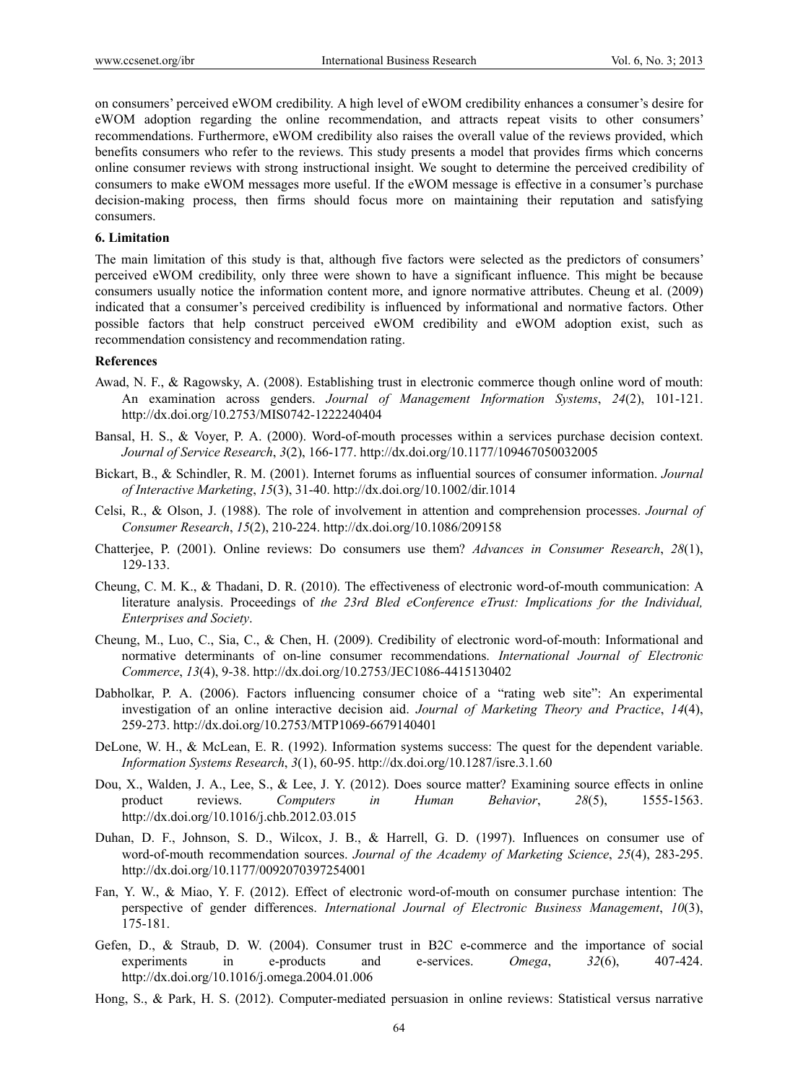on consumers' perceived eWOM credibility. A high level of eWOM credibility enhances a consumer's desire for eWOM adoption regarding the online recommendation, and attracts repeat visits to other consumers' recommendations. Furthermore, eWOM credibility also raises the overall value of the reviews provided, which benefits consumers who refer to the reviews. This study presents a model that provides firms which concerns online consumer reviews with strong instructional insight. We sought to determine the perceived credibility of consumers to make eWOM messages more useful. If the eWOM message is effective in a consumer's purchase decision-making process, then firms should focus more on maintaining their reputation and satisfying consumers.

#### **6. Limitation**

The main limitation of this study is that, although five factors were selected as the predictors of consumers' perceived eWOM credibility, only three were shown to have a significant influence. This might be because consumers usually notice the information content more, and ignore normative attributes. Cheung et al. (2009) indicated that a consumer's perceived credibility is influenced by informational and normative factors. Other possible factors that help construct perceived eWOM credibility and eWOM adoption exist, such as recommendation consistency and recommendation rating.

#### **References**

- Awad, N. F., & Ragowsky, A. (2008). Establishing trust in electronic commerce though online word of mouth: An examination across genders. *Journal of Management Information Systems*, *24*(2), 101-121. http://dx.doi.org/10.2753/MIS0742-1222240404
- Bansal, H. S., & Voyer, P. A. (2000). Word-of-mouth processes within a services purchase decision context. *Journal of Service Research*, *3*(2), 166-177. http://dx.doi.org/10.1177/109467050032005
- Bickart, B., & Schindler, R. M. (2001). Internet forums as influential sources of consumer information. *Journal of Interactive Marketing*, *15*(3), 31-40. http://dx.doi.org/10.1002/dir.1014
- Celsi, R., & Olson, J. (1988). The role of involvement in attention and comprehension processes. *Journal of Consumer Research*, *15*(2), 210-224. http://dx.doi.org/10.1086/209158
- Chatterjee, P. (2001). Online reviews: Do consumers use them? *Advances in Consumer Research*, *28*(1), 129-133.
- Cheung, C. M. K., & Thadani, D. R. (2010). The effectiveness of electronic word-of-mouth communication: A literature analysis. Proceedings of *the 23rd Bled eConference eTrust: Implications for the Individual, Enterprises and Society*.
- Cheung, M., Luo, C., Sia, C., & Chen, H. (2009). Credibility of electronic word-of-mouth: Informational and normative determinants of on-line consumer recommendations. *International Journal of Electronic Commerce*, *13*(4), 9-38. http://dx.doi.org/10.2753/JEC1086-4415130402
- Dabholkar, P. A. (2006). Factors influencing consumer choice of a "rating web site": An experimental investigation of an online interactive decision aid. *Journal of Marketing Theory and Practice*, *14*(4), 259-273. http://dx.doi.org/10.2753/MTP1069-6679140401
- DeLone, W. H., & McLean, E. R. (1992). Information systems success: The quest for the dependent variable. *Information Systems Research*, *3*(1), 60-95. http://dx.doi.org/10.1287/isre.3.1.60
- Dou, X., Walden, J. A., Lee, S., & Lee, J. Y. (2012). Does source matter? Examining source effects in online product reviews. *Computers in Human Behavior*, *28*(5), 1555-1563. http://dx.doi.org/10.1016/j.chb.2012.03.015
- Duhan, D. F., Johnson, S. D., Wilcox, J. B., & Harrell, G. D. (1997). Influences on consumer use of word-of-mouth recommendation sources. *Journal of the Academy of Marketing Science*, *25*(4), 283-295. http://dx.doi.org/10.1177/0092070397254001
- Fan, Y. W., & Miao, Y. F. (2012). Effect of electronic word-of-mouth on consumer purchase intention: The perspective of gender differences. *International Journal of Electronic Business Management*, *10*(3), 175-181.
- Gefen, D., & Straub, D. W. (2004). Consumer trust in B2C e-commerce and the importance of social experiments in e-products and e-services. *Omega*, *32*(6), 407-424. http://dx.doi.org/10.1016/j.omega.2004.01.006
- Hong, S., & Park, H. S. (2012). Computer-mediated persuasion in online reviews: Statistical versus narrative